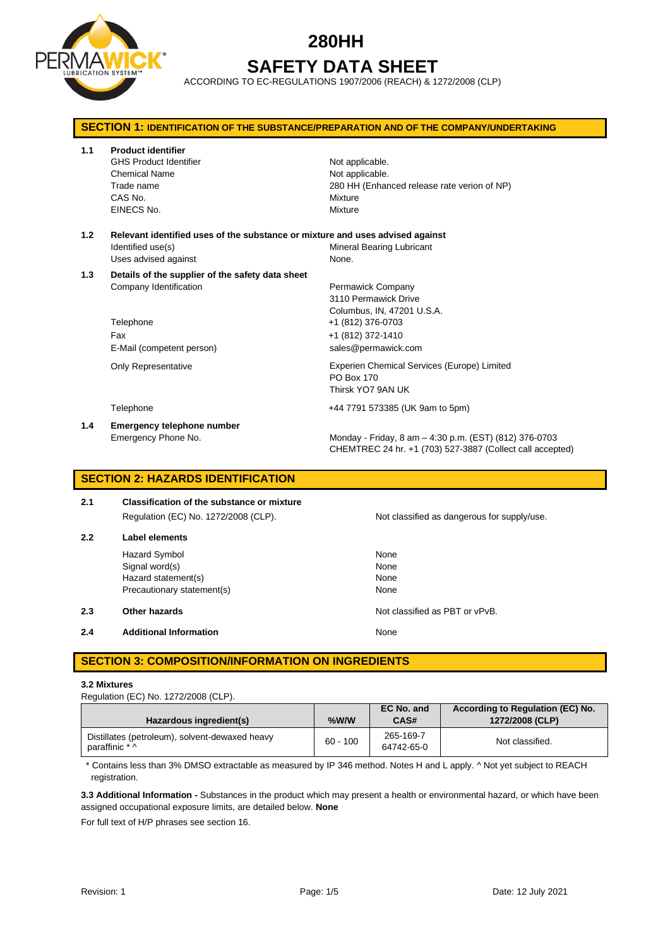

# **280HH SAFETY DATA SHEET**

ACCORDING TO EC-REGULATIONS 1907/2006 (REACH) & 1272/2008 (CLP)

| <b>SECTION 1: IDENTIFICATION OF THE SUBSTANCE/PREPARATION AND OF THE COMPANY/UNDERTAKING</b> |                                                                                                                             |                                                                                                                                          |  |
|----------------------------------------------------------------------------------------------|-----------------------------------------------------------------------------------------------------------------------------|------------------------------------------------------------------------------------------------------------------------------------------|--|
| 1.1                                                                                          | <b>Product identifier</b><br><b>GHS Product Identifier</b><br><b>Chemical Name</b><br>Trade name<br>CAS No.<br>EINECS No.   | Not applicable.<br>Not applicable.<br>280 HH (Enhanced release rate verion of NP)<br>Mixture<br>Mixture                                  |  |
| 1.2                                                                                          | Relevant identified uses of the substance or mixture and uses advised against<br>Identified use(s)<br>Uses advised against  | Mineral Bearing Lubricant<br>None.                                                                                                       |  |
| 1.3                                                                                          | Details of the supplier of the safety data sheet<br>Company Identification<br>Telephone<br>Fax<br>E-Mail (competent person) | Permawick Company<br>3110 Permawick Drive<br>Columbus, IN, 47201 U.S.A.<br>+1 (812) 376-0703<br>+1 (812) 372-1410<br>sales@permawick.com |  |
|                                                                                              | <b>Only Representative</b>                                                                                                  | Experien Chemical Services (Europe) Limited<br>PO Box 170<br>Thirsk YO7 9AN UK                                                           |  |
|                                                                                              | Telephone                                                                                                                   | +44 7791 573385 (UK 9am to 5pm)                                                                                                          |  |
| 1.4                                                                                          | Emergency telephone number<br>Emergency Phone No.                                                                           | Monday - Friday, 8 am - 4:30 p.m. (EST) (812) 376-0703<br>CHEMTREC 24 hr. +1 (703) 527-3887 (Collect call accepted)                      |  |

# **SECTION 2: HAZARDS IDENTIFICATION**

| 2.1 | <b>Classification of the substance or mixture</b> |       |
|-----|---------------------------------------------------|-------|
|     | Regulation (EC) No. 1272/2008 (CLP).              | Not c |
| 2.2 | Label elements                                    |       |
|     | Hazard Symbol                                     | None  |

Signal word(s) None Hazard statement(s) None Precautionary statement(s) None

**2.3 Other hazards Details According to the COVID-100 Motion COVID-100 Motion COVID-100 Motion COVID-100 Motion COVID-100 Motion COVID-100 Motion COVID-100 Motion COVID-100 Motion COVID-100 Motion COVID-100 Motion COVI** 

**2.4 Additional Information None** 

## **SECTION 3: COMPOSITION/INFORMATION ON INGREDIENTS**

#### **3.2 Mixtures**

Regulation (EC) No. 1272/2008 (CLP).

| Hazardous ingredient(s)                                          | %W/W       | EC No. and<br>CAS#      | According to Regulation (EC) No.<br>1272/2008 (CLP) |
|------------------------------------------------------------------|------------|-------------------------|-----------------------------------------------------|
| Distillates (petroleum), solvent-dewaxed heavy<br>paraffinic * ^ | $60 - 100$ | 265-169-7<br>64742-65-0 | Not classified.                                     |

\* Contains less than 3% DMSO extractable as measured by IP 346 method. Notes H and L apply. ^ Not yet subject to REACH registration.

**3.3 Additional Information -** Substances in the product which may present a health or environmental hazard, or which have been assigned occupational exposure limits, are detailed below. **None**

For full text of H/P phrases see section 16.

Not classified as dangerous for supply/use.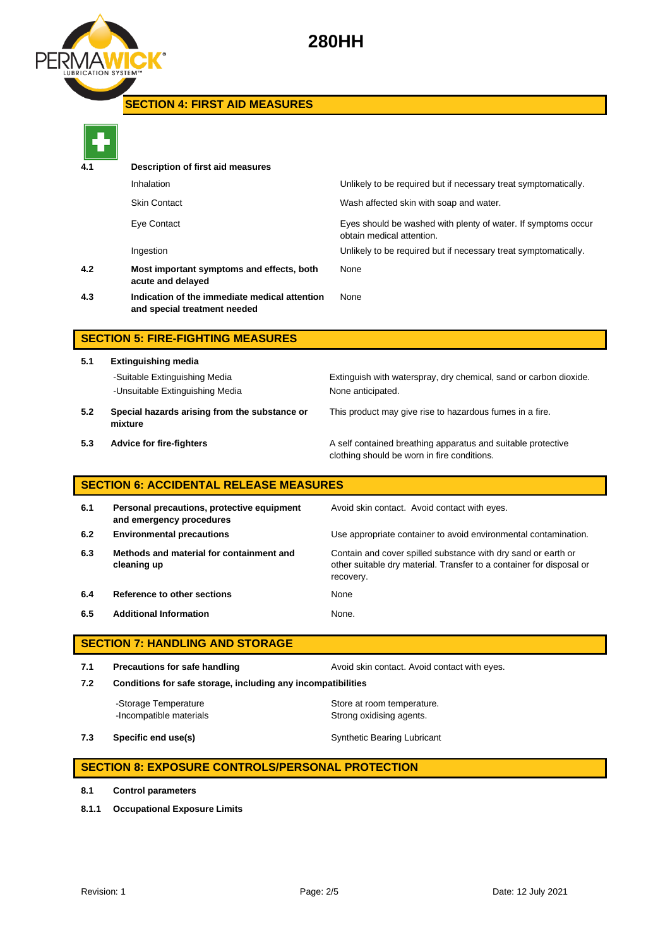



# **SECTION 4: FIRST AID MEASURES**

| ć |  |  |  |
|---|--|--|--|

| 4.1       | Description of first aid measures                                             |                                                                                            |
|-----------|-------------------------------------------------------------------------------|--------------------------------------------------------------------------------------------|
|           | Inhalation                                                                    | Unlikely to be required but if necessary treat symptomatically.                            |
|           | <b>Skin Contact</b>                                                           | Wash affected skin with soap and water.                                                    |
|           | Eye Contact                                                                   | Eyes should be washed with plenty of water. If symptoms occur<br>obtain medical attention. |
|           | Ingestion                                                                     | Unlikely to be required but if necessary treat symptomatically.                            |
| 4.2       | Most important symptoms and effects, both<br>acute and delayed                | None                                                                                       |
| 4.3       | Indication of the immediate medical attention<br>and special treatment needed | None                                                                                       |
| APATIAN P | FIBE FIAUTULA UFLANDEA                                                        |                                                                                            |

## **SECTION 5: FIRE-FIGHTING MEASURES**

**5.1 Extinguishing media** -Suitable Extinguishing Media Extinguish with waterspray, dry chemical, sand or carbon dioxide. -Unsuitable Extinguishing Media None anticipated. **5.2 Special hazards arising from the substance or**  This product may give rise to hazardous fumes in a fire.

- **mixture**
- 

**5.3 Advice for fire-fighters A self** contained breathing apparatus and suitable protective clothing should be worn in fire conditions.

## **SECTION 6: ACCIDENTAL RELEASE MEASURES**

| 6.1 | Personal precautions, protective equipment<br>and emergency procedures | Avoid skin contact. Avoid contact with eyes.                                                                                                       |
|-----|------------------------------------------------------------------------|----------------------------------------------------------------------------------------------------------------------------------------------------|
| 6.2 | <b>Environmental precautions</b>                                       | Use appropriate container to avoid environmental contamination.                                                                                    |
| 6.3 | Methods and material for containment and<br>cleaning up                | Contain and cover spilled substance with dry sand or earth or<br>other suitable dry material. Transfer to a container for disposal or<br>recovery. |
| 6.4 | Reference to other sections                                            | None                                                                                                                                               |
| 6.5 | <b>Additional Information</b>                                          | None.                                                                                                                                              |

# **SECTION 7: HANDLING AND STORAGE**

**7.1 Precautions for safe handling Avoid skin contact. Avoid contact with eyes. 7.2 Conditions for safe storage, including any incompatibilities**

-Storage Temperature **Store at room temperature.** -Incompatible materials **Strong oxidising agents**.

**7.3 Specific end use(s)** Synthetic Bearing Lubricant

## **SECTION 8: EXPOSURE CONTROLS/PERSONAL PROTECTION**

- **8.1 Control parameters**
- **8.1.1 Occupational Exposure Limits**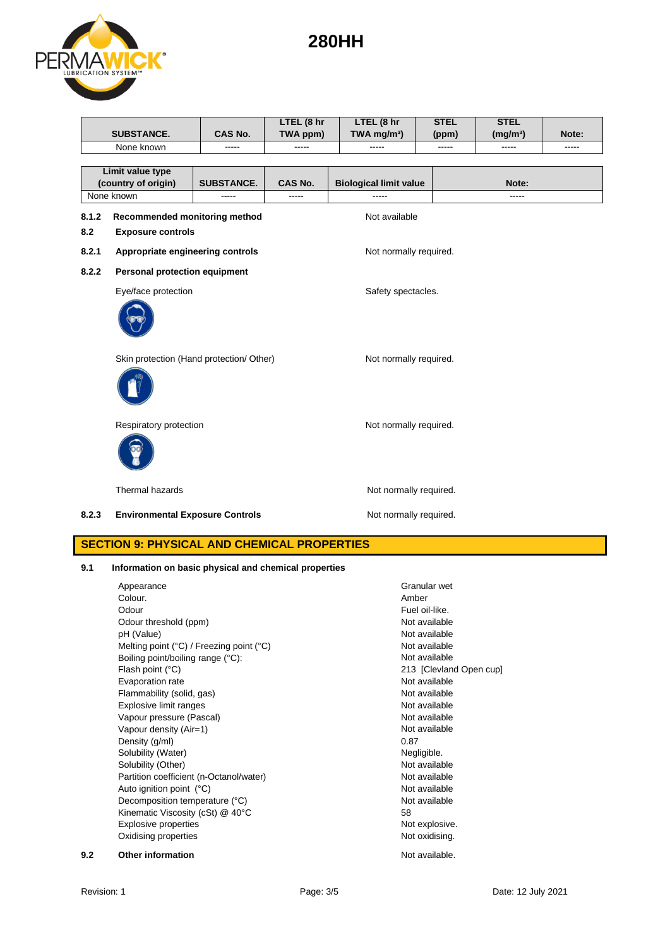# **280HH**



|       |                                          |                   | LTEL (8 hr | LTEL (8 hr                    | <b>STEL</b> | <b>STEL</b>          |       |
|-------|------------------------------------------|-------------------|------------|-------------------------------|-------------|----------------------|-------|
|       | <b>SUBSTANCE.</b>                        | <b>CAS No.</b>    | TWA ppm)   | TWA mg/m <sup>3</sup> )       | (ppm)       | (mg/m <sup>3</sup> ) | Note: |
|       | None known                               | -----             | -----      | -----                         | -----       | -----                | ----- |
|       |                                          |                   |            |                               |             |                      |       |
|       | Limit value type                         |                   |            |                               |             |                      |       |
|       | (country of origin)                      | <b>SUBSTANCE.</b> | CAS No.    | <b>Biological limit value</b> |             | Note:                |       |
|       | None known                               |                   | -----      | -----                         |             | -----                |       |
| 8.1.2 | Recommended monitoring method            |                   |            | Not available                 |             |                      |       |
| 8.2   | <b>Exposure controls</b>                 |                   |            |                               |             |                      |       |
| 8.2.1 | Appropriate engineering controls         |                   |            | Not normally required.        |             |                      |       |
| 8.2.2 | Personal protection equipment            |                   |            |                               |             |                      |       |
|       | Eye/face protection                      |                   |            | Safety spectacles.            |             |                      |       |
|       |                                          |                   |            |                               |             |                      |       |
|       | Skin protection (Hand protection/ Other) |                   |            | Not normally required.        |             |                      |       |
|       |                                          |                   |            |                               |             |                      |       |
|       | Respiratory protection                   |                   |            | Not normally required.        |             |                      |       |
|       |                                          |                   |            |                               |             |                      |       |
|       | Thermal hazards                          |                   |            | Not normally required.        |             |                      |       |
| 8.2.3 | <b>Environmental Exposure Controls</b>   |                   |            | Not normally required.        |             |                      |       |

# **SECTION 9: PHYSICAL AND CHEMICAL PROPERTIES**

## **9.1 Information on basic physical and chemical properties**

|     | Appearance                               | Granular wet            |
|-----|------------------------------------------|-------------------------|
|     | Colour.                                  | Amber                   |
|     | Odour                                    | Fuel oil-like.          |
|     | Odour threshold (ppm)                    | Not available           |
|     | pH (Value)                               | Not available           |
|     | Melting point (°C) / Freezing point (°C) | Not available           |
|     | Boiling point/boiling range (°C):        | Not available           |
|     | Flash point (°C)                         | 213 [Clevland Open cup] |
|     | Evaporation rate                         | Not available           |
|     | Flammability (solid, gas)                | Not available           |
|     | Explosive limit ranges                   | Not available           |
|     | Vapour pressure (Pascal)                 | Not available           |
|     | Vapour density (Air=1)                   | Not available           |
|     | Density (g/ml)                           | 0.87                    |
|     | Solubility (Water)                       | Negligible.             |
|     | Solubility (Other)                       | Not available           |
|     | Partition coefficient (n-Octanol/water)  | Not available           |
|     | Auto ignition point (°C)                 | Not available           |
|     | Decomposition temperature (°C)           | Not available           |
|     | Kinematic Viscosity (cSt) @ 40°C         | 58                      |
|     | <b>Explosive properties</b>              | Not explosive.          |
|     | Oxidising properties                     | Not oxidising.          |
| 9.2 | <b>Other information</b>                 | Not available.          |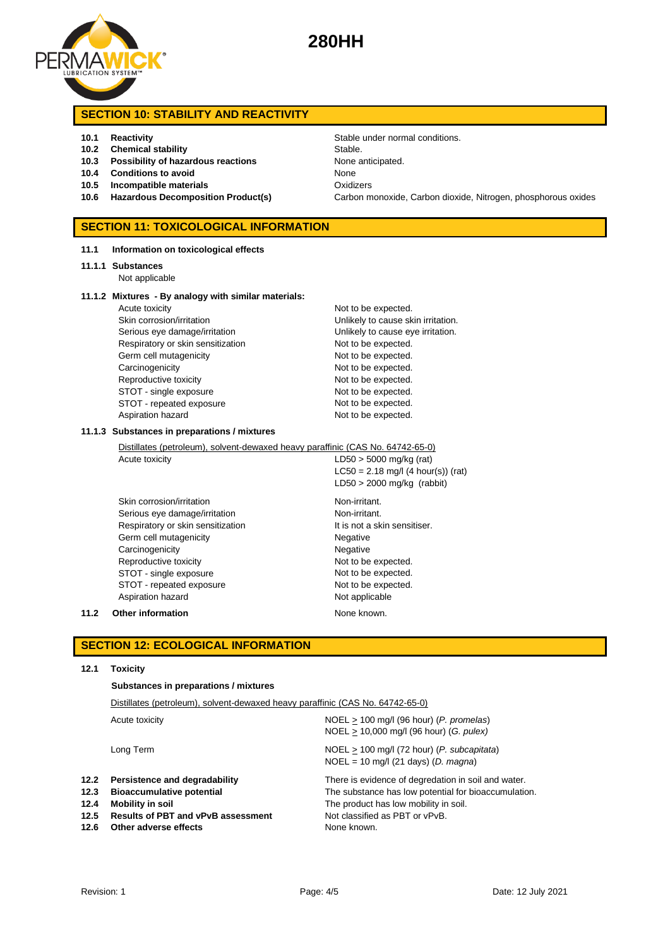

## **SECTION 10: STABILITY AND REACTIVITY**

- 
- **10.2 Chemical stability** Stable.
- **10.3 Possibility of hazardous reactions** None anticipated.
- **10.4 Conditions to avoid** None
- **10.5 Incompatible materials** Oxidizers
- 

## **SECTION 11: TOXICOLOGICAL INFORMATION**

**11.1 Information on toxicological effects**

#### **11.1.1 Substances**

Not applicable

#### **11.1.2 Mixtures - By analogy with similar materials:**

| Acute toxicity                    | Not to be expected.  |
|-----------------------------------|----------------------|
| Skin corrosion/irritation         | Unlikely to cause sk |
| Serious eye damage/irritation     | Unlikely to cause ey |
| Respiratory or skin sensitization | Not to be expected.  |
| Germ cell mutagenicity            | Not to be expected.  |
| Carcinogenicity                   | Not to be expected.  |
| Reproductive toxicity             | Not to be expected.  |
| STOT - single exposure            | Not to be expected.  |
| STOT - repeated exposure          | Not to be expected.  |
| Aspiration hazard                 | Not to be expected.  |

# Not to be expected. Unlikely to cause skin irritation. Unlikely to cause eye irritation. Not to be expected. Not to be expected. Not to be expected. Not to be expected. Not to be expected. Not to be expected.

#### **11.1.3 Substances in preparations / mixtures**

Distillates (petroleum), solvent-dewaxed heavy paraffinic (CAS No. 64742-65-0)

Acute toxicity  $LD50 > 5000$  mg/kg (rat)  $LC50 = 2.18$  mg/l (4 hour(s)) (rat) LD50 > 2000 mg/kg (rabbit)

Skin corrosion/irritation Non-irritant. Serious eye damage/irritation Non-irritant. Respiratory or skin sensitization It is not a skin sensitiser. Germ cell mutagenicity **Negative** Negative Carcinogenicity **Negative** Negative Reproductive toxicity Not to be expected. STOT - single exposure Not to be expected. STOT - repeated exposure Not to be expected. Aspiration hazard Not applicable

### **11.2 Other information None known.**

## **SECTION 12: ECOLOGICAL INFORMATION**

### **12.1 Toxicity**

**Substances in preparations / mixtures**

| Distillates (petroleum), solvent-dewaxed heavy paraffinic (CAS No. 64742-65-0)                                                                              |                                                                                                                                                                                                       |  |  |
|-------------------------------------------------------------------------------------------------------------------------------------------------------------|-------------------------------------------------------------------------------------------------------------------------------------------------------------------------------------------------------|--|--|
| Acute toxicity                                                                                                                                              | $NOEL > 100$ mg/l (96 hour) (P. promelas)<br>NOEL > 10,000 mg/l (96 hour) (G. pulex)                                                                                                                  |  |  |
| Long Term                                                                                                                                                   | $NOEL > 100$ mg/l (72 hour) (P. subcapitata)<br>$NOEL = 10$ mg/l (21 days) (D. magna)                                                                                                                 |  |  |
| Persistence and degradability<br><b>Bioaccumulative potential</b><br>Mobility in soil<br><b>Results of PBT and vPvB assessment</b><br>Other adverse effects | There is evidence of degredation in soil and water.<br>The substance has low potential for bioaccumulation.<br>The product has low mobility in soil.<br>Not classified as PBT or vPvB.<br>None known. |  |  |
|                                                                                                                                                             |                                                                                                                                                                                                       |  |  |

**10.1 Reactivity 10.1 Reactivity Stable under normal conditions. 10.6 Hazardous Decomposition Product(s)** Carbon monoxide, Carbon dioxide, Nitrogen, phosphorous oxides